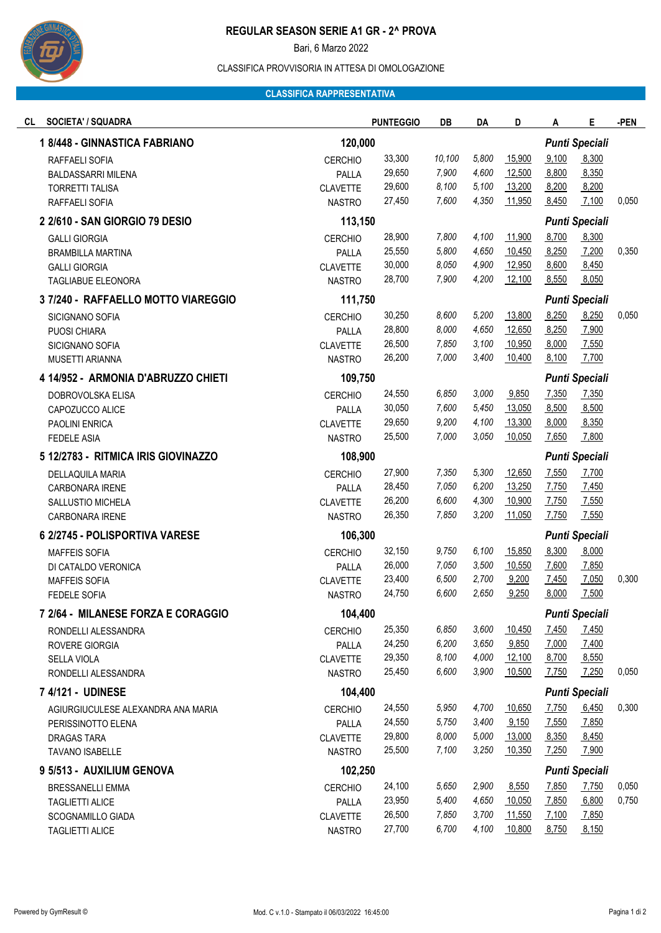

# **REGULAR SEASON SERIE A1 GR - 2^ PROVA**

Bari, 6 Marzo 2022

## CLASSIFICA PROVVISORIA IN ATTESA DI OMOLOGAZIONE

### **CLASSIFICA RAPPRESENTATIVA**

| CL<br><b>SOCIETA' / SQUADRA</b>     |                 | <b>PUNTEGGIO</b> | DB     | DA    | D      | A                     | Е                     | -PEN  |
|-------------------------------------|-----------------|------------------|--------|-------|--------|-----------------------|-----------------------|-------|
| 18/448 - GINNASTICA FABRIANO        | 120,000         |                  |        |       |        | <b>Punti Speciali</b> |                       |       |
| RAFFAELI SOFIA                      | <b>CERCHIO</b>  | 33,300           | 10,100 | 5,800 | 15,900 | 9,100                 | 8,300                 |       |
| <b>BALDASSARRI MILENA</b>           | PALLA           | 29,650           | 7,900  | 4,600 | 12,500 | 8,800                 | 8,350                 |       |
| <b>TORRETTI TALISA</b>              | <b>CLAVETTE</b> | 29,600           | 8,100  | 5,100 | 13,200 | 8,200                 | 8,200                 |       |
| RAFFAELI SOFIA                      | <b>NASTRO</b>   | 27,450           | 7,600  | 4,350 | 11,950 | 8,450                 | 7,100                 | 0,050 |
| 2 2/610 - SAN GIORGIO 79 DESIO      | 113,150         |                  |        |       |        |                       | <b>Punti Speciali</b> |       |
| <b>GALLI GIORGIA</b>                | <b>CERCHIO</b>  | 28,900           | 7,800  | 4,100 | 11,900 | 8,700                 | 8,300                 |       |
| <b>BRAMBILLA MARTINA</b>            | PALLA           | 25,550           | 5,800  | 4,650 | 10,450 | 8,250                 | 7,200                 | 0,350 |
| <b>GALLI GIORGIA</b>                | <b>CLAVETTE</b> | 30,000           | 8,050  | 4,900 | 12,950 | 8,600                 | 8,450                 |       |
| TAGLIABUE ELEONORA                  | <b>NASTRO</b>   | 28,700           | 7,900  | 4,200 | 12,100 | 8,550                 | 8,050                 |       |
| 3 7/240 - RAFFAELLO MOTTO VIAREGGIO | 111,750         |                  |        |       |        | <b>Punti Speciali</b> |                       |       |
| SICIGNANO SOFIA                     | <b>CERCHIO</b>  | 30,250           | 8,600  | 5,200 | 13,800 | 8,250                 | 8,250                 | 0,050 |
| <b>PUOSI CHIARA</b>                 | PALLA           | 28,800           | 8,000  | 4,650 | 12,650 | 8,250                 | 7,900                 |       |
| SICIGNANO SOFIA                     | <b>CLAVETTE</b> | 26,500           | 7,850  | 3,100 | 10,950 | 8,000                 | 7,550                 |       |
| MUSETTI ARIANNA                     | <b>NASTRO</b>   | 26,200           | 7,000  | 3,400 | 10,400 | 8,100                 | 7,700                 |       |
| 4 14/952 - ARMONIA D'ABRUZZO CHIETI | 109,750         |                  |        |       |        | <b>Punti Speciali</b> |                       |       |
| DOBROVOLSKA ELISA                   | <b>CERCHIO</b>  | 24,550           | 6,850  | 3,000 | 9,850  | 7,350                 | 7,350                 |       |
| CAPOZUCCO ALICE                     | PALLA           | 30,050           | 7,600  | 5,450 | 13,050 | 8,500                 | 8,500                 |       |
| PAOLINI ENRICA                      | <b>CLAVETTE</b> | 29,650           | 9,200  | 4,100 | 13,300 | 8,000                 | 8,350                 |       |
| <b>FEDELE ASIA</b>                  | <b>NASTRO</b>   | 25,500           | 7,000  | 3,050 | 10,050 | 7,650                 | 7,800                 |       |
| 5 12/2783 - RITMICA IRIS GIOVINAZZO | 108,900         |                  |        |       |        |                       | <b>Punti Speciali</b> |       |
| DELLAQUILA MARIA                    | <b>CERCHIO</b>  | 27,900           | 7,350  | 5,300 | 12,650 | 7,550                 | 7,700                 |       |
| CARBONARA IRENE                     | PALLA           | 28,450           | 7,050  | 6,200 | 13,250 | 7,750                 | 7,450                 |       |
| SALLUSTIO MICHELA                   | <b>CLAVETTE</b> | 26,200           | 6,600  | 4,300 | 10,900 | 7,750                 | 7,550                 |       |
| CARBONARA IRENE                     | <b>NASTRO</b>   | 26,350           | 7,850  | 3,200 | 11,050 | 7,750                 | 7,550                 |       |
| 6 2/2745 - POLISPORTIVA VARESE      | 106,300         |                  |        |       |        | <b>Punti Speciali</b> |                       |       |
| <b>MAFFEIS SOFIA</b>                | <b>CERCHIO</b>  | 32,150           | 9,750  | 6,100 | 15,850 | 8,300                 | 8,000                 |       |
| DI CATALDO VERONICA                 | PALLA           | 26,000           | 7,050  | 3,500 | 10,550 | 7,600                 | 7,850                 |       |
| <b>MAFFEIS SOFIA</b>                | <b>CLAVETTE</b> | 23,400           | 6,500  | 2,700 | 9,200  | 7,450                 | 7,050                 | 0,300 |
| <b>FEDELE SOFIA</b>                 | <b>NASTRO</b>   | 24,750           | 6,600  | 2,650 | 9,250  | 8,000                 | 7,500                 |       |
| 7 2/64 - MILANESE FORZA E CORAGGIO  | 104,400         |                  |        |       |        |                       | <b>Punti Speciali</b> |       |
| RONDELLI ALESSANDRA                 | <b>CERCHIO</b>  | 25,350           | 6,850  | 3,600 | 10,450 | 7,450                 | 7,450                 |       |
| ROVERE GIORGIA                      | PALLA           | 24,250           | 6,200  | 3,650 | 9,850  | 7,000                 | 7,400                 |       |
| <b>SELLA VIOLA</b>                  | <b>CLAVETTE</b> | 29,350           | 8,100  | 4,000 | 12,100 | 8,700                 | 8,550                 |       |
| RONDELLI ALESSANDRA                 | <b>NASTRO</b>   | 25,450           | 6,600  | 3,900 | 10,500 | 7,750                 | 7,250                 | 0,050 |
| 7 4/121 - UDINESE                   | 104,400         |                  |        |       |        |                       | <b>Punti Speciali</b> |       |
| AGIURGIUCULESE ALEXANDRA ANA MARIA  | <b>CERCHIO</b>  | 24,550           | 5,950  | 4,700 | 10,650 | 7,750                 | 6,450                 | 0,300 |
| PERISSINOTTO ELENA                  | PALLA           | 24,550           | 5,750  | 3,400 | 9,150  | 7,550                 | 7,850                 |       |
| DRAGAS TARA                         | <b>CLAVETTE</b> | 29,800           | 8,000  | 5,000 | 13,000 | 8,350                 | 8,450                 |       |
| <b>TAVANO ISABELLE</b>              | <b>NASTRO</b>   | 25,500           | 7,100  | 3,250 | 10,350 | 7,250                 | 7,900                 |       |
| 9 5/513 - AUXILIUM GENOVA           | 102,250         |                  |        |       |        | <b>Punti Speciali</b> |                       |       |
| <b>BRESSANELLI EMMA</b>             | <b>CERCHIO</b>  | 24,100           | 5,650  | 2,900 | 8,550  | 7,850                 | 7,750                 | 0,050 |
| <b>TAGLIETTI ALICE</b>              | PALLA           | 23,950           | 5,400  | 4,650 | 10,050 | 7,850                 | 6,800                 | 0,750 |
| SCOGNAMILLO GIADA                   | <b>CLAVETTE</b> | 26,500           | 7,850  | 3,700 | 11,550 | 7,100                 | 7,850                 |       |
| <b>TAGLIETTI ALICE</b>              | <b>NASTRO</b>   | 27,700           | 6,700  | 4,100 | 10,800 | 8,750                 | 8,150                 |       |